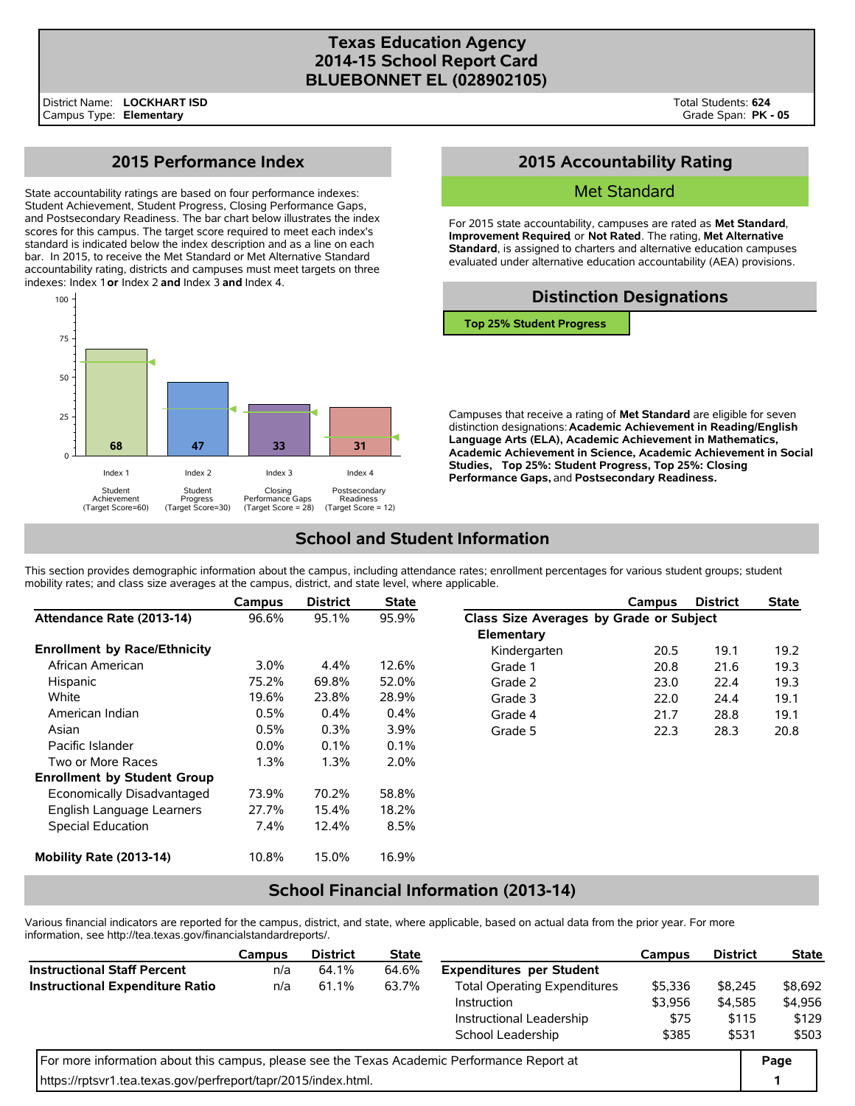#### **Texas Education Agency 2014-15 School Report Card BLUEBONNET EL (028902105)**

# **2015 Performance Index**

State accountability ratings are based on four performance indexes: Student Achievement, Student Progress, Closing Performance Gaps, and Postsecondary Readiness. The bar chart below illustrates the index scores for this campus. The target score required to meet each index's standard is indicated below the index description and as a line on each bar. In 2015, to receive the Met Standard or Met Alternative Standard accountability rating, districts and campuses must meet targets on three indexes: Index 1 **or** Index 2 **and** Index 3 **and** Index 4.



# **2015 Accountability Rating**

#### Met Standard

For 2015 state accountability, campuses are rated as **Met Standard**, **Improvement Required**, or **Not Rated**. The rating, **Met Alternative Standard**, is assigned to charters and alternative education campuses evaluated under alternative education accountability (AEA) provisions.

### **Distinction Designations**

**Top 25% Student Progress**

Campuses that receive a rating of **Met Standard** are eligible for seven distinction designations: **Academic Achievement in Reading/English Language Arts (ELA), Academic Achievement in Mathematics, Academic Achievement in Science, Academic Achievement in Social Studies, Top 25%: Student Progress, Top 25%: Closing Performance Gaps,** and **Postsecondary Readiness.**

# **School and Student Information**

This section provides demographic information about the campus, including attendance rates; enrollment percentages for various student groups; student mobility rates; and class size averages at the campus, district, and state level, where applicable.

|                                     | Campus  | <b>District</b> | <b>State</b> |                                         | Campus | <b>District</b> | <b>State</b> |  |
|-------------------------------------|---------|-----------------|--------------|-----------------------------------------|--------|-----------------|--------------|--|
| Attendance Rate (2013-14)           | 96.6%   | 95.1%           | 95.9%        | Class Size Averages by Grade or Subject |        |                 |              |  |
|                                     |         |                 |              | Elementary                              |        |                 |              |  |
| <b>Enrollment by Race/Ethnicity</b> |         |                 |              | Kindergarten                            | 20.5   | 19.1            | 19.2         |  |
| African American                    | $3.0\%$ | $4.4\%$         | 12.6%        | Grade 1                                 | 20.8   | 21.6            | 19.3         |  |
| Hispanic                            | 75.2%   | 69.8%           | 52.0%        | Grade 2                                 | 23.0   | 22.4            | 19.3         |  |
| White                               | 19.6%   | 23.8%           | 28.9%        | Grade 3                                 | 22.0   | 24.4            | 19.1         |  |
| American Indian                     | 0.5%    | $0.4\%$         | $0.4\%$      | Grade 4                                 | 21.7   | 28.8            | 19.1         |  |
| Asian                               | 0.5%    | 0.3%            | 3.9%         | Grade 5                                 | 22.3   | 28.3            | 20.8         |  |
| Pacific Islander                    | $0.0\%$ | 0.1%            | $0.1\%$      |                                         |        |                 |              |  |
| Two or More Races                   | 1.3%    | 1.3%            | $2.0\%$      |                                         |        |                 |              |  |
| <b>Enrollment by Student Group</b>  |         |                 |              |                                         |        |                 |              |  |
| Economically Disadvantaged          | 73.9%   | 70.2%           | 58.8%        |                                         |        |                 |              |  |
| English Language Learners           | 27.7%   | 15.4%           | 18.2%        |                                         |        |                 |              |  |
| Special Education                   | $7.4\%$ | 12.4%           | 8.5%         |                                         |        |                 |              |  |
| Mobility Rate (2013-14)             | 10.8%   | 15.0%           | 16.9%        |                                         |        |                 |              |  |

### **School Financial Information (2013-14)**

Various financial indicators are reported for the campus, district, and state, where applicable, based on actual data from the prior year. For more information, see http://tea.texas.gov/financialstandardreports/.

|                                                                                             | Campus | <b>District</b> | <b>State</b> |                                     | Campus  | <b>District</b>  | <b>State</b> |
|---------------------------------------------------------------------------------------------|--------|-----------------|--------------|-------------------------------------|---------|------------------|--------------|
| <b>Instructional Staff Percent</b>                                                          | n/a    | 64.1%           | 64.6%        | <b>Expenditures per Student</b>     |         |                  |              |
| <b>Instructional Expenditure Ratio</b>                                                      | n/a    | 61.1%           | 63.7%        | <b>Total Operating Expenditures</b> | \$5,336 | \$8,245          | \$8,692      |
|                                                                                             |        |                 |              | Instruction                         | \$3,956 | \$4,585<br>\$115 | \$4,956      |
|                                                                                             |        |                 |              | Instructional Leadership            | \$75    |                  | \$129        |
|                                                                                             |        |                 |              | School Leadership                   | \$385   | \$531            | \$503        |
| For more information about this campus, please see the Texas Academic Performance Report at |        |                 |              |                                     |         |                  |              |
| https://rptsvr1.tea.texas.gov/perfreport/tapr/2015/index.html.                              |        |                 |              |                                     |         |                  |              |